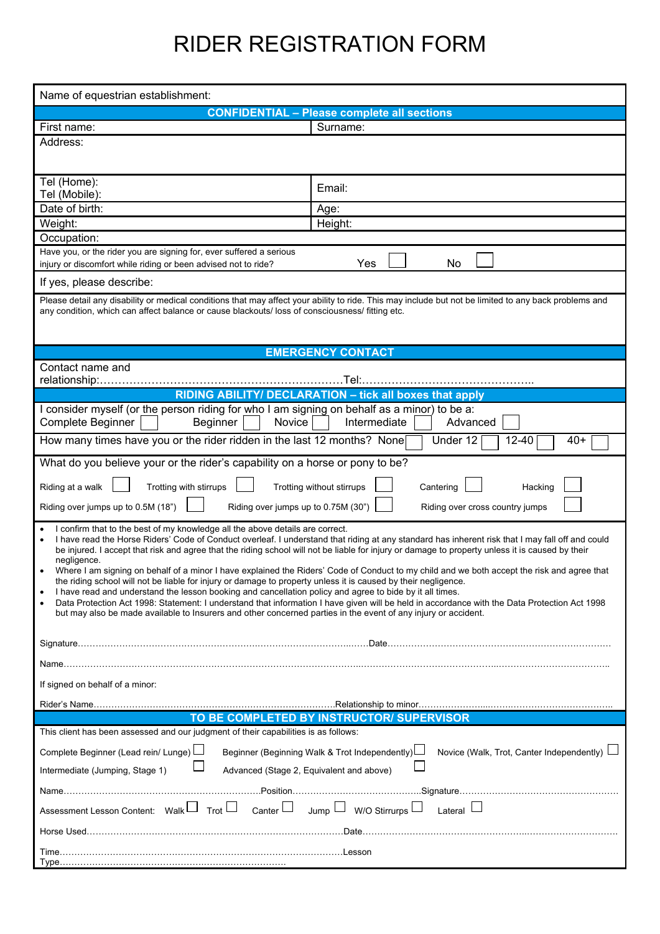## RIDER REGISTRATION FORM

| Name of equestrian establishment:                                                                                                                                                                                                                                                                                                                                                                                                                                                                                                                                                                                                                                                                                                                                                                                                                                                                                                                                                                                                                   |                                                    |
|-----------------------------------------------------------------------------------------------------------------------------------------------------------------------------------------------------------------------------------------------------------------------------------------------------------------------------------------------------------------------------------------------------------------------------------------------------------------------------------------------------------------------------------------------------------------------------------------------------------------------------------------------------------------------------------------------------------------------------------------------------------------------------------------------------------------------------------------------------------------------------------------------------------------------------------------------------------------------------------------------------------------------------------------------------|----------------------------------------------------|
|                                                                                                                                                                                                                                                                                                                                                                                                                                                                                                                                                                                                                                                                                                                                                                                                                                                                                                                                                                                                                                                     | <b>CONFIDENTIAL - Please complete all sections</b> |
| First name:                                                                                                                                                                                                                                                                                                                                                                                                                                                                                                                                                                                                                                                                                                                                                                                                                                                                                                                                                                                                                                         | Surname:                                           |
| Address:                                                                                                                                                                                                                                                                                                                                                                                                                                                                                                                                                                                                                                                                                                                                                                                                                                                                                                                                                                                                                                            |                                                    |
| Tel (Home):<br>Tel (Mobile):                                                                                                                                                                                                                                                                                                                                                                                                                                                                                                                                                                                                                                                                                                                                                                                                                                                                                                                                                                                                                        | Email:                                             |
| Date of birth:                                                                                                                                                                                                                                                                                                                                                                                                                                                                                                                                                                                                                                                                                                                                                                                                                                                                                                                                                                                                                                      | Age:                                               |
| Weight:                                                                                                                                                                                                                                                                                                                                                                                                                                                                                                                                                                                                                                                                                                                                                                                                                                                                                                                                                                                                                                             | Height:                                            |
| Occupation:                                                                                                                                                                                                                                                                                                                                                                                                                                                                                                                                                                                                                                                                                                                                                                                                                                                                                                                                                                                                                                         |                                                    |
| Have you, or the rider you are signing for, ever suffered a serious<br>Yes<br>No<br>injury or discomfort while riding or been advised not to ride?                                                                                                                                                                                                                                                                                                                                                                                                                                                                                                                                                                                                                                                                                                                                                                                                                                                                                                  |                                                    |
| If yes, please describe:                                                                                                                                                                                                                                                                                                                                                                                                                                                                                                                                                                                                                                                                                                                                                                                                                                                                                                                                                                                                                            |                                                    |
| Please detail any disability or medical conditions that may affect your ability to ride. This may include but not be limited to any back problems and<br>any condition, which can affect balance or cause blackouts/ loss of consciousness/ fitting etc.                                                                                                                                                                                                                                                                                                                                                                                                                                                                                                                                                                                                                                                                                                                                                                                            |                                                    |
| <b>EMERGENCY CONTACT</b>                                                                                                                                                                                                                                                                                                                                                                                                                                                                                                                                                                                                                                                                                                                                                                                                                                                                                                                                                                                                                            |                                                    |
| Contact name and                                                                                                                                                                                                                                                                                                                                                                                                                                                                                                                                                                                                                                                                                                                                                                                                                                                                                                                                                                                                                                    |                                                    |
| RIDING ABILITY/ DECLARATION - tick all boxes that apply                                                                                                                                                                                                                                                                                                                                                                                                                                                                                                                                                                                                                                                                                                                                                                                                                                                                                                                                                                                             |                                                    |
| I consider myself (or the person riding for who I am signing on behalf as a minor) to be a:<br>Beginner<br>Novice<br>Intermediate<br>Complete Beginner<br>Advanced                                                                                                                                                                                                                                                                                                                                                                                                                                                                                                                                                                                                                                                                                                                                                                                                                                                                                  |                                                    |
| How many times have you or the rider ridden in the last 12 months? None<br>Under 12<br>$12 - 40$<br>$40+$                                                                                                                                                                                                                                                                                                                                                                                                                                                                                                                                                                                                                                                                                                                                                                                                                                                                                                                                           |                                                    |
| What do you believe your or the rider's capability on a horse or pony to be?                                                                                                                                                                                                                                                                                                                                                                                                                                                                                                                                                                                                                                                                                                                                                                                                                                                                                                                                                                        |                                                    |
| Riding at a walk<br>Trotting with stirrups<br>Trotting without stirrups<br>Cantering<br>Hacking<br>Riding over jumps up to 0.5M (18")<br>Riding over jumps up to 0.75M (30")<br>Riding over cross country jumps                                                                                                                                                                                                                                                                                                                                                                                                                                                                                                                                                                                                                                                                                                                                                                                                                                     |                                                    |
| I confirm that to the best of my knowledge all the above details are correct.<br>I have read the Horse Riders' Code of Conduct overleaf. I understand that riding at any standard has inherent risk that I may fall off and could<br>be injured. I accept that risk and agree that the riding school will not be liable for injury or damage to property unless it is caused by their<br>negligence.<br>Where I am signing on behalf of a minor I have explained the Riders' Code of Conduct to my child and we both accept the risk and agree that<br>the riding school will not be liable for injury or damage to property unless it is caused by their negligence.<br>I have read and understand the lesson booking and cancellation policy and agree to bide by it all times.<br>Data Protection Act 1998: Statement: I understand that information I have given will be held in accordance with the Data Protection Act 1998<br>but may also be made available to Insurers and other concerned parties in the event of any injury or accident. |                                                    |
|                                                                                                                                                                                                                                                                                                                                                                                                                                                                                                                                                                                                                                                                                                                                                                                                                                                                                                                                                                                                                                                     |                                                    |
|                                                                                                                                                                                                                                                                                                                                                                                                                                                                                                                                                                                                                                                                                                                                                                                                                                                                                                                                                                                                                                                     |                                                    |
| If signed on behalf of a minor:                                                                                                                                                                                                                                                                                                                                                                                                                                                                                                                                                                                                                                                                                                                                                                                                                                                                                                                                                                                                                     |                                                    |
|                                                                                                                                                                                                                                                                                                                                                                                                                                                                                                                                                                                                                                                                                                                                                                                                                                                                                                                                                                                                                                                     |                                                    |
| TO BE COMPLETED BY INSTRUCTOR/ SUPERVISOR                                                                                                                                                                                                                                                                                                                                                                                                                                                                                                                                                                                                                                                                                                                                                                                                                                                                                                                                                                                                           |                                                    |
| This client has been assessed and our judgment of their capabilities is as follows:                                                                                                                                                                                                                                                                                                                                                                                                                                                                                                                                                                                                                                                                                                                                                                                                                                                                                                                                                                 |                                                    |
| Complete Beginner (Lead rein/ Lunge)<br>Beginner (Beginning Walk & Trot Independently)<br>Novice (Walk, Trot, Canter Independently)<br>Intermediate (Jumping, Stage 1)<br>Advanced (Stage 2, Equivalent and above)                                                                                                                                                                                                                                                                                                                                                                                                                                                                                                                                                                                                                                                                                                                                                                                                                                  |                                                    |
|                                                                                                                                                                                                                                                                                                                                                                                                                                                                                                                                                                                                                                                                                                                                                                                                                                                                                                                                                                                                                                                     |                                                    |
| Assessment Lesson Content: Walk Trot L Canter L Jump L W/O Stirrurps L<br>Lateral $\Box$                                                                                                                                                                                                                                                                                                                                                                                                                                                                                                                                                                                                                                                                                                                                                                                                                                                                                                                                                            |                                                    |
|                                                                                                                                                                                                                                                                                                                                                                                                                                                                                                                                                                                                                                                                                                                                                                                                                                                                                                                                                                                                                                                     |                                                    |
|                                                                                                                                                                                                                                                                                                                                                                                                                                                                                                                                                                                                                                                                                                                                                                                                                                                                                                                                                                                                                                                     |                                                    |